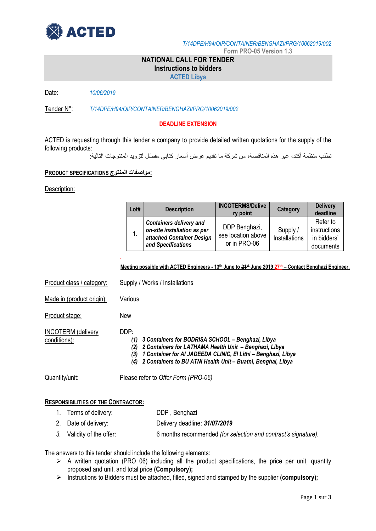

*T/14DPE/H94/QIP/CONTAINER/BENGHAZI/PRG/10062019/002*

**Form PRO-05 Version 1.3**

## **NATIONAL CALL FOR TENDER Instructions to bidders**

**ACTED Libya**

Date: *10/06/2019*

Tender N°: *T/14DPE/H94/QIP/CONTAINER/BENGHAZI/PRG/10062019/002*

### **DEADLINE EXTENSION**

ACTED is requesting through this tender a company to provide detailed written quotations for the supply of the following products:

تطلب منظمة أكتد، عبر هذه المناقصة، من شركة ما تقديم عرض أسعار كتابي مفص ل لتزويد المنتوجات التالية:

## **:مواصفات المنتوج SPECIFICATIONS PRODUCT**

Description:

conditions):

| Lot# | <b>Description</b>                                                                                               | <b>INCOTERMS/Delive</b><br>ry point                 | Category                  | <b>Delivery</b><br>deadline                          |
|------|------------------------------------------------------------------------------------------------------------------|-----------------------------------------------------|---------------------------|------------------------------------------------------|
|      | <b>Containers delivery and</b><br>on-site installation as per<br>attached Container Design<br>and Specifications | DDP Benghazi,<br>see location above<br>or in PRO-06 | Supply /<br>Installations | Refer to<br>instructions<br>in bidders'<br>documents |

#### **Meeting possible with ACTED Engineers - 13th June to 21st June 2019 27th – Contact Benghazi Engineer.**

Product class / category: Supply / Works / Installations Made in (product origin): Various Product stage: New INCOTERM (delivery DDP*:*

*.* 

- *(1) 3 Containers for BODRISA SCHOOL – Benghazi, Libya*
- *(2) 2 Containers for LATHAMA Health Unit – Benghazi, Libya*
- *(3) 1 Container for Al JADEEDA CLINIC, El Lithi – Benghazi, Libya*
- *(4) 2 Containers to BU ATNI Health Unit – Buatni, Benghai, Libya*

Quantity/unit: Please refer to *Offer Form (PRO-06)*

### **RESPONSIBILITIES OF THE CONTRACTOR:**

|  |  | 1. Terms of delivery: | DDP, Benghazi |
|--|--|-----------------------|---------------|
|--|--|-----------------------|---------------|

- 2. Date of delivery: Delivery deadline: *31/07/2019*
- *3.* Validity of the offer: 6 months recommended *(for selection and contract's signature).*

The answers to this tender should include the following elements:

- $\triangleright$  A written quotation (PRO 06) including all the product specifications, the price per unit, quantity proposed and unit, and total price **(Compulsory);**
- Instructions to Bidders must be attached, filled, signed and stamped by the supplier **(compulsory);**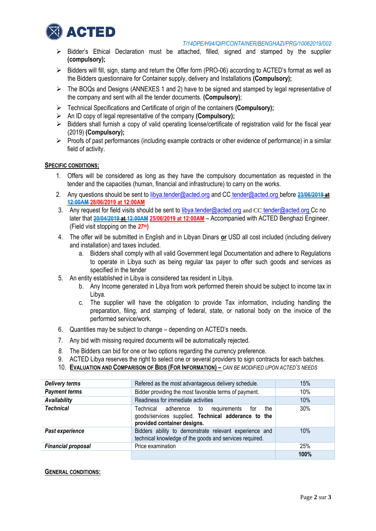

#### *T/14DPE/H94/QIP/CONTAINER/BENGHAZI/PRG/10062019/002*

- $\triangleright$  Bidder's Ethical Declaration must be attached, filled, signed and stamped by the supplier **(compulsory);**
- $\triangleright$  Bidders will fill, sign, stamp and return the Offer form (PRO-06) according to ACTED's format as well as the Bidders questionnaire for Container supply, delivery and Installations **(Compulsory);**
- $\triangleright$  The BOQs and Designs (ANNEXES 1 and 2) have to be signed and stamped by legal representative of the company and sent with all the tender documents. **(Compulsory)**;
- Technical Specifications and Certificate of origin of the containers **(Compulsory);**
- An ID copy of legal representative of the company **(Compulsory);**
- $\triangleright$  Bidders shall furnish a copy of valid operating license/certificate of registration valid for the fiscal year (2019) **(Compulsory);**
- $\triangleright$  Proofs of past performances (including example contracts or other evidence of performance) in a similar field of activity.

### **SPECIFIC CONDITIONS:**

- 1. Offers will be considered as long as they have the compulsory documentation as requested in the tender and the capacities (human, financial and infrastructure) to carry on the works.
- 2. Any questions should be sent to [libya.tender@acted.org](mailto:libya.tender@acted.org) and CC [tender@acted.org](mailto:tender@acted.org) before **23/06/2019 at 12:00AM 28/06/2019 at 12:00AM**
- 3. Any request for field visits should be sent to [libya.tender@acted.org](mailto:libya.tender@acted.org) and CC [tender@acted.org](mailto:tender@acted.org) Cc no later that **20/04/2019 at 12:00AM 25/06/2019 at 12:00AM** – Accompanied with ACTED Benghazi Engineer. (Field visit stopping on the *27 th***)**
- 4. The offer will be submitted in English and in Libyan Dinars **or** USD all cost included (including delivery and installation) and taxes included.
	- a. Bidders shall comply with all valid Government legal Documentation and adhere to Regulations to operate in Libya such as being regular tax payer to offer such goods and services as specified in the tender
- 5. An entity established in Libya is considered tax resident in Libya.
	- b. Any Income generated in Libya from work performed therein should be subject to income tax in Libya.
	- c. The supplier will have the obligation to provide Tax information, including handling the preparation, filing, and stamping of federal, state, or national body on the invoice of the performed service/work.
- 6. Quantities may be subject to change depending on ACTED's needs.
- 7. Any bid with missing required documents will be automatically rejected.
- *8.* The Bidders can bid for one or two options regarding the currency preference.
- 9. ACTED Libya reserves the right to select one or several providers to sign contracts for each batches.
- 10. **EVALUATION AND COMPARISON OF BIDS (FOR INFORMATION) –** *CAN BE MODIFIED UPON ACTED'S NEEDS*

| <b>Delivery terms</b>     | Refered as the most advantageous delivery schedule.                                                                                        | 15%  |
|---------------------------|--------------------------------------------------------------------------------------------------------------------------------------------|------|
| <b>Payment terms</b>      | Bidder providing the most favorable terms of payment.                                                                                      | 10%  |
| Availability              | Readiness for immediate activities                                                                                                         | 10%  |
| <b>Technical</b>          | Technical adherence to<br>the<br>requirements<br>for<br>goods/services supplied. Technical adderance to the<br>provided container designs. | 30%  |
| Past experience           | Bidders ability to demonstrate relevant experience and<br>technical knowledge of the goods and services required.                          | 10%  |
| <b>Financial proposal</b> | Price examination                                                                                                                          |      |
|                           |                                                                                                                                            | 100% |

#### **GENERAL CONDITIONS:**